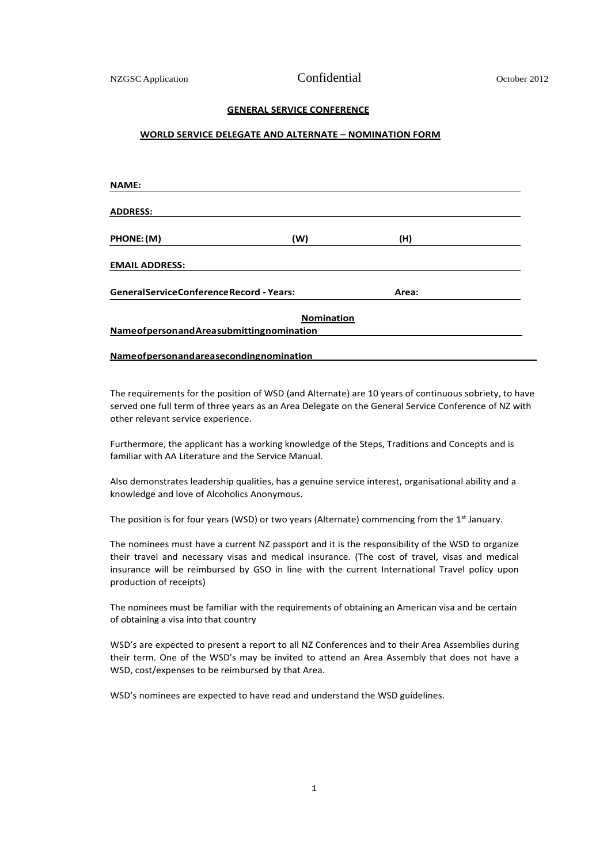## **GENERAL SERVICE CONFERENCE**

## **WORLD SERVICE DELEGATE AND ALTERNATE – NOMINATION FORM**

| <b>NAME:</b>                                         |                   |       |  |
|------------------------------------------------------|-------------------|-------|--|
| <b>ADDRESS:</b>                                      |                   |       |  |
| PHONE: (M)                                           | (W)               | (H)   |  |
| <b>EMAIL ADDRESS:</b>                                |                   |       |  |
| <b>GeneralServiceConferenceRecord - Years:</b>       |                   | Area: |  |
|                                                      | <b>Nomination</b> |       |  |
| <b>Name of person and Area submitting nomination</b> |                   |       |  |
|                                                      |                   |       |  |

**Nameofpersonandareasecondingnomination**

The requirements for the position of WSD (and Alternate) are 10 years of continuous sobriety, to have served one full term of three years as an Area Delegate on the General Service Conference of NZ with other relevant service experience.

Furthermore, the applicant has a working knowledge of the Steps, Traditions and Concepts and is familiar with AA Literature and the Service Manual.

Also demonstrates leadership qualities, has a genuine service interest, organisational ability and a knowledge and love of Alcoholics Anonymous.

The position is for four years (WSD) or two years (Alternate) commencing from the  $1<sup>st</sup>$  January.

The nominees must have a current NZ passport and it is the responsibility of the WSD to organize their travel and necessary visas and medical insurance. (The cost of travel, visas and medical insurance will be reimbursed by GSO in line with the current International Travel policy upon production of receipts)

The nominees must be familiar with the requirements of obtaining an American visa and be certain of obtaining a visa into that country

WSD's are expected to present a report to all NZ Conferences and to their Area Assemblies during their term. One of the WSD's may be invited to attend an Area Assembly that does not have a WSD, cost/expenses to be reimbursed by that Area.

WSD's nominees are expected to have read and understand the WSD guidelines.